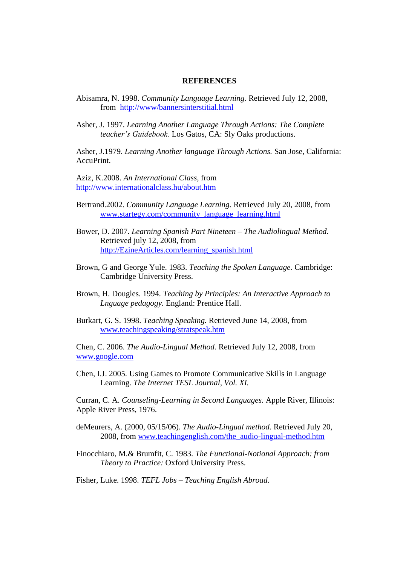## **REFERENCES**

- Abisamra, N. 1998. *Community Language Learning.* Retrieved July 12, 2008, from <http://www/bannersinterstitial.html>
- Asher, J. 1997. *Learning Another Language Through Actions: The Complete teacher's Guidebook.* Los Gatos, CA: Sly Oaks productions.

Asher, J.1979. *Learning Another language Through Actions.* San Jose, California: AccuPrint.

Aziz, K.2008. *An International Class,* from <http://www.internationalclass.hu/about.htm>

- Bertrand.2002. *Community Language Learning.* Retrieved July 20, 2008, from [www.startegy.com/community\\_language\\_learning.html](http://www.startegy.com/community_language_learning.html)
- Bower, D. 2007. *Learning Spanish Part Nineteen – The Audiolingual Method.* Retrieved july 12, 2008, from [http://EzineArticles.com/learning\\_spanish.html](http://ezinearticles.com/learning_spanish.html)
- Brown, G and George Yule. 1983. *Teaching the Spoken Language.* Cambridge: Cambridge University Press.
- Brown, H. Dougles. 1994. *Teaching by Principles: An Interactive Approach to Lnguage pedagogy.* England: Prentice Hall.
- Burkart, G. S. 1998. *Teaching Speaking.* Retrieved June 14, 2008, from [www.teachingspeaking/stratspeak.htm](http://www.teachingspeaking/stratspeak.htm)

Chen, C. 2006. *The Audio-Lingual Method.* Retrieved July 12, 2008, from [www.google.com](http://www.google.com/)

Chen, I.J. 2005. Using Games to Promote Communicative Skills in Language Learning. *The Internet TESL Journal, Vol. XI.*

Curran, C. A. *Counseling-Learning in Second Languages.* Apple River, Illinois: Apple River Press, 1976.

deMeurers, A. (2000, 05/15/06). *The Audio-Lingual method.* Retrieved July 20, 2008, from [www.teachingenglish.com/the\\_audio-lingual-method.htm](http://www.teachingenglish.com/the_audio-lingual-method.htm)

Finocchiaro, M.& Brumfit, C. 1983. *The Functional-Notional Approach: from Theory to Practice:* Oxford University Press.

Fisher, Luke. 1998. *TEFL Jobs – Teaching English Abroad.*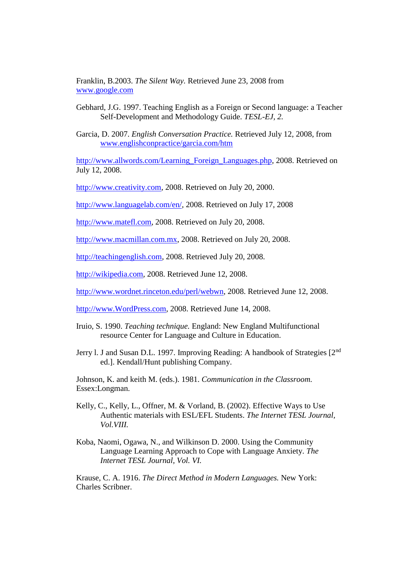Franklin, B.2003. *The Silent Way.* Retrieved June 23, 2008 from [www.google.com](http://www.google.com/)

- Gebhard, J.G. 1997. Teaching English as a Foreign or Second language: a Teacher Self-Development and Methodology Guide. *TESL-EJ, 2.*
- Garcia, D. 2007. *English Conversation Practice.* Retrieved July 12, 2008, from [www.englishconpractice/garcia.com/htm](http://www.englishconpractice/garcia.com/htm)

[http://www.allwords.com/Learning\\_Foreign\\_Languages.php,](http://www.allwords.com/) 2008. Retrieved on July 12, 2008.

[http://www.creativity.com,](http://www.creativity.com/) 2008. Retrieved on July 20, 2000.

[http://www.languagelab.com/en/,](http://www.languagelab.com/en/) 2008. Retrieved on July 17, 2008

[http://www.matefl.com,](http://www.matefl.com/) 2008. Retrieved on July 20, 2008.

[http://www.macmillan.com.mx,](http://www.macmillan.com.mx/) 2008. Retrieved on July 20, 2008.

[http://teachingenglish.com,](http://teachingenglish.com/) 2008. Retrieved July 20, 2008.

[http://wikipedia.com,](http://wikipedia.com/) 2008. Retrieved June 12, 2008.

[http://www.wordnet.rinceton.edu/perl/webwn,](http://www.wordnet.rinceton.edu/perl/webwn) 2008. Retrieved June 12, 2008.

[http://www.WordPress.com,](http://www.wordpress.com/) 2008. Retrieved June 14, 2008.

- Iruio, S. 1990. *Teaching technique.* England: New England Multifunctional resource Center for Language and Culture in Education.
- Jerry l. J and Susan D.L. 1997. Improving Reading: A handbook of Strategies [2nd ed.]. Kendall/Hunt publishing Company.

Johnson, K. and keith M. (eds.). 1981. *Communication in the Classroom.*  Essex:Longman.

- Kelly, C., Kelly, L., Offner, M. & Vorland, B. (2002). Effective Ways to Use Authentic materials with ESL/EFL Students. *The Internet TESL Journal, Vol.VIII.*
- Koba, Naomi, Ogawa, N., and Wilkinson D. 2000. Using the Community Language Learning Approach to Cope with Language Anxiety. *The Internet TESL Journal, Vol. VI.*

Krause, C. A. 1916. *The Direct Method in Modern Languages.* New York: Charles Scribner.